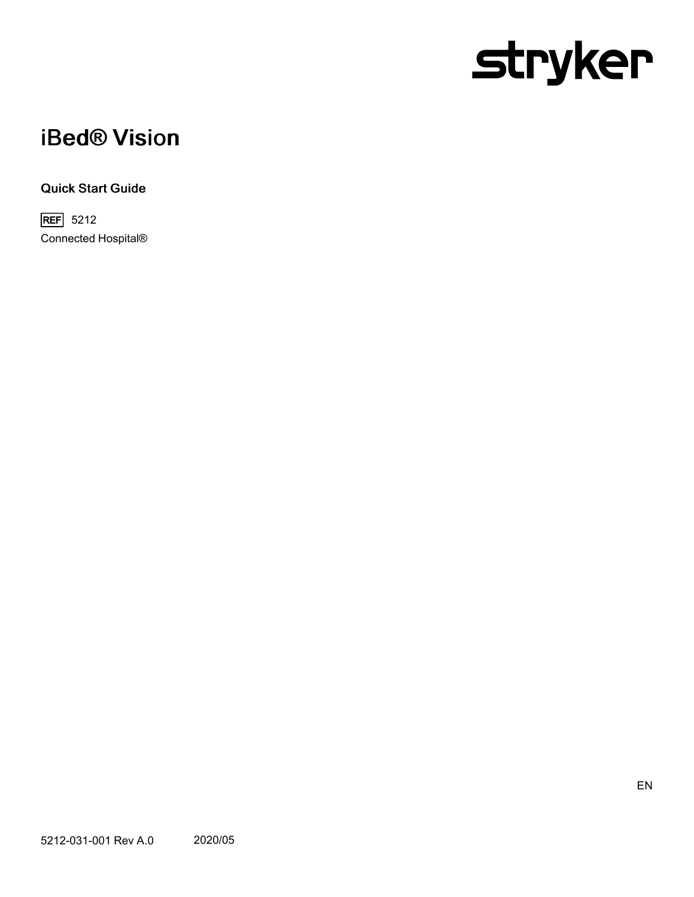# **stryker**

## iBed® Vision

Quick Start Guide

**REF** 5212 Connected Hospital®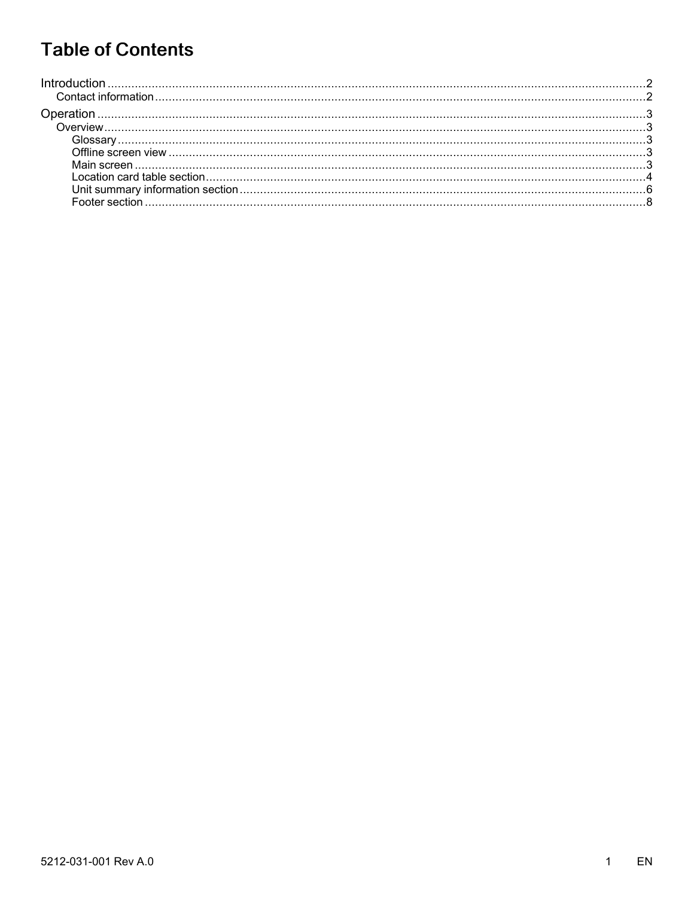## **Table of Contents**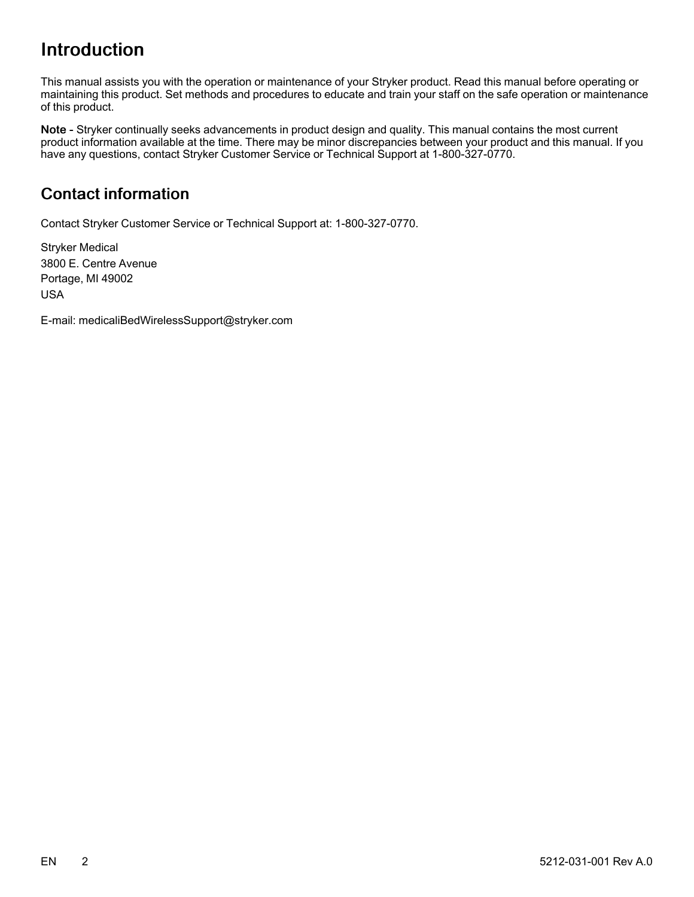## <span id="page-3-0"></span>Introduction

This manual assists you with the operation or maintenance of your Stryker product. Read this manual before operating or maintaining this product. Set methods and procedures to educate and train your staff on the safe operation or maintenance of this product.

Note - Stryker continually seeks advancements in product design and quality. This manual contains the most current product information available at the time. There may be minor discrepancies between your product and this manual. If you have any questions, contact Stryker Customer Service or Technical Support at 1-800-327-0770.

### <span id="page-3-1"></span>Contact information

Contact Stryker Customer Service or Technical Support at: 1-800-327-0770.

Stryker Medical 3800 E. Centre Avenue Portage, MI 49002 USA

E-mail: medicaliBedWirelessSupport@stryker.com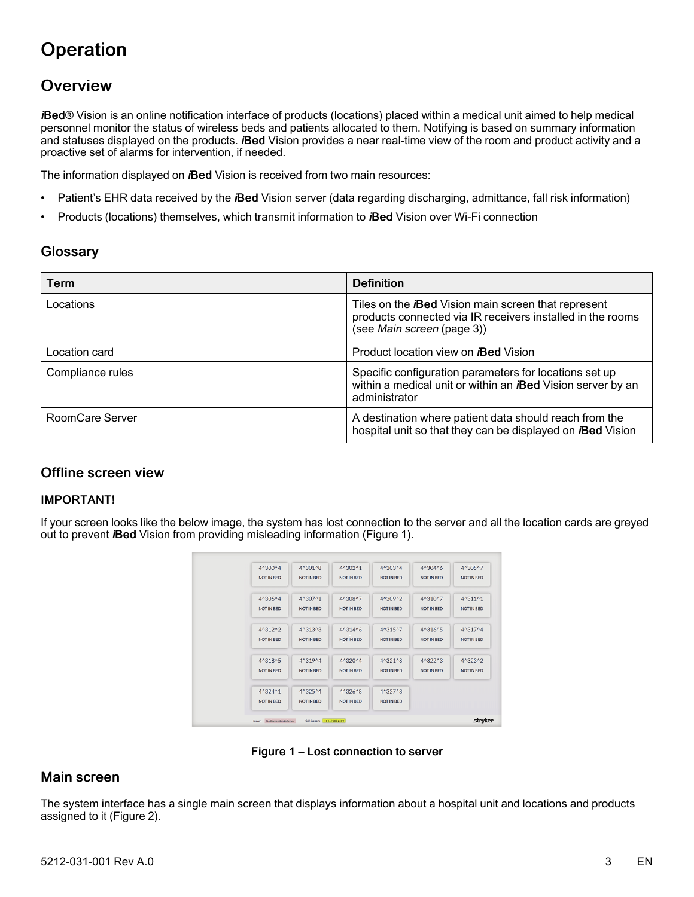## <span id="page-4-0"></span>**Operation**

### <span id="page-4-1"></span>**Overview**

iBed® Vision is an online notification interface of products (locations) placed within a medical unit aimed to help medical personnel monitor the status of wireless beds and patients allocated to them. Notifying is based on summary information and statuses displayed on the products. **iBed** Vision provides a near real-time view of the room and product activity and a proactive set of alarms for intervention, if needed.

The information displayed on *i*Bed Vision is received from two main resources:

- Patient's EHR data received by the *i*Bed Vision server (data regarding discharging, admittance, fall risk information)
- Products (locations) themselves, which transmit information to iBed Vision over Wi-Fi connection

#### <span id="page-4-2"></span>**Glossarv**

| Term             | <b>Definition</b>                                                                                                                                       |
|------------------|---------------------------------------------------------------------------------------------------------------------------------------------------------|
| Locations        | Tiles on the <i>i</i> Bed Vision main screen that represent<br>products connected via IR receivers installed in the rooms<br>(see Main screen (page 3)) |
| Location card    | Product location view on <i>i</i> Bed Vision                                                                                                            |
| Compliance rules | Specific configuration parameters for locations set up<br>within a medical unit or within an <i>i</i> Bed Vision server by an<br>administrator          |
| RoomCare Server  | A destination where patient data should reach from the<br>hospital unit so that they can be displayed on <i>i</i> Bed Vision                            |

#### <span id="page-4-3"></span>Offline screen view

#### IMPORTANT!

<span id="page-4-5"></span>If your screen looks like the below image, the system has lost connection to the server and all the location cards are greyed out to prevent *i*Bed Vision from providing misleading information [\(Figure](#page-4-5) 1).

| 4^300^4           | 4^301^8           | 4^302^1           | 4^303^4           | 4^304^6           | 4^305^7           |
|-------------------|-------------------|-------------------|-------------------|-------------------|-------------------|
| <b>NOT IN BED</b> | <b>NOT IN BED</b> | <b>NOT IN BED</b> | <b>NOT IN BED</b> | <b>NOT IN BED</b> | <b>NOT IN BED</b> |
| 4^306^4           | 4^307^1           | 4^308^7           | 4^309^2           | 4^310^7           | 4^311^1           |
| <b>NOT IN BED</b> | <b>NOT IN BED</b> | <b>NOT IN BED</b> | <b>NOT IN BED</b> | <b>NOT IN BED</b> | <b>NOT IN BED</b> |
| 4^312^2           | 4^313^3           | 4^314^6           | 4^315^7           | 4^316^5           | 4^317^4           |
| <b>NOT IN BED</b> | <b>NOT IN BED</b> | <b>NOT IN BED</b> | <b>NOT IN BED</b> | <b>NOT IN BED</b> | <b>NOT IN BED</b> |
| 4^318^5           | 4^319^4           | 4^320^4           | 4^321^8           | 4^322^3           | 4^323^2           |
| <b>NOT IN BED</b> | <b>NOT IN BED</b> | <b>NOT IN BED</b> | <b>NOT IN BED</b> | <b>NOT IN BED</b> | <b>NOT IN BED</b> |
| 4^324^1           | 4^325^4           | 4^326^8           | 4^327^8           |                   |                   |
| <b>NOT IN BED</b> | <b>NOT IN BED</b> | <b>NOT IN BED</b> | <b>NOT IN BED</b> |                   |                   |

Figure 1 – Lost connection to server

#### <span id="page-4-4"></span>Main screen

The system interface has a single main screen that displays information about a hospital unit and locations and products assigned to it ([Figure](#page-5-1) 2).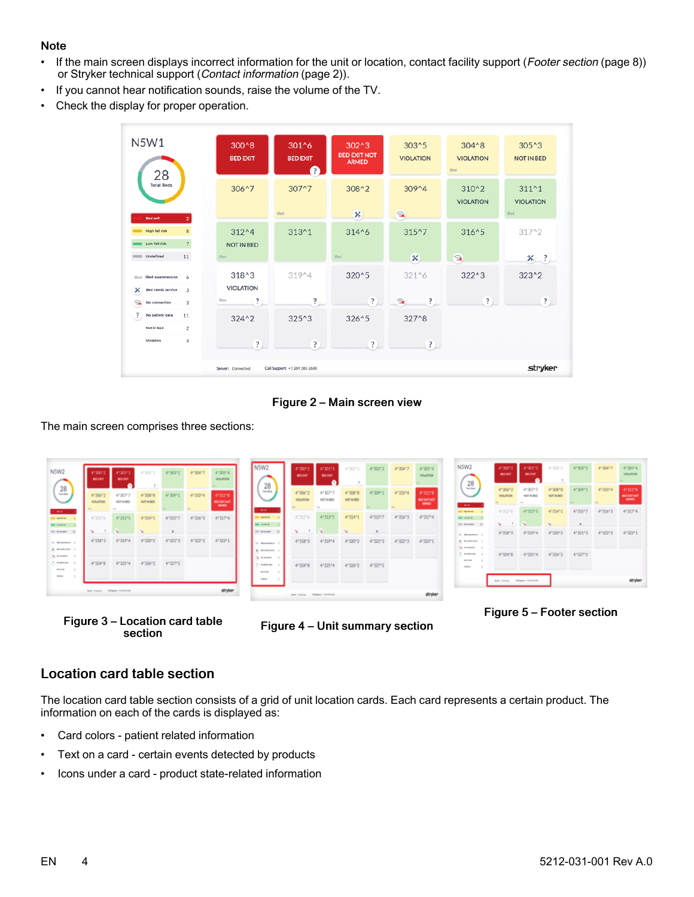#### Note

- If the main screen displays incorrect information for the unit or location, contact facility support (Footer section [\(page](#page-9-0) 8)) or Stryker technical support (Contact [information](#page-3-1) (page 2)).
- If you cannot hear notification sounds, raise the volume of the TV.
- <span id="page-5-1"></span>• Check the display for proper operation.



Figure 2 – Main screen view

The main screen comprises three sections:

| N5W2                                                     | 4"300"2<br><b>MOON!</b>                | 4*301*3<br><b>MID-DAT</b> | $4^{\circ}302^{\circ}1$ | $4^{+303+2}$    | $4^{\circ}304^{\circ}7$ | 4"305"4<br><b>WOLATION</b>             | N5W2<br>28                                               | 4"300"2<br><b>MDOST</b>               | 4"301"3<br><b>MDOUT</b> | 4"302"1              | 4°303°2                 | 4"304"7       | 4"305"4<br>VIOLATION                   | N5W2<br>28<br><b>Turned Bandle</b>                        | 4"300"2<br><b>MDOST</b><br>4"306"2        | 4^301^3<br><b>MID-ENT</b><br>4*307*7 | $4^+302^+1$<br>$4^{\circ}308^{\circ}8$ | 4"303"2<br>4"309"1 | 4"304"7<br>4"310"4 | 4"305"4<br><b>VIOLATION</b><br>4*311*8 |
|----------------------------------------------------------|----------------------------------------|---------------------------|-------------------------|-----------------|-------------------------|----------------------------------------|----------------------------------------------------------|---------------------------------------|-------------------------|----------------------|-------------------------|---------------|----------------------------------------|-----------------------------------------------------------|-------------------------------------------|--------------------------------------|----------------------------------------|--------------------|--------------------|----------------------------------------|
| 28                                                       | 4"306"2<br><b>VIOLITION</b>            | $4*307*7$<br>NOT IN BED   | 4*308*6<br>NOT IN BED   | 4*309*1         | 4"350"4                 | 4131118<br><b>BED ENT NOT</b><br>ABHED | <b>Turned Bands</b>                                      | 4°306°2<br><b><i>VIOLATION</i></b>    | 4*307*7<br>NOT IN BED   | 4"308"<br>NOT IN BID | 4"309"                  | 4"330"4       | 4131118<br><b>BED ENT NOT</b><br>ABIED | <b>State</b>                                              | <b><i>VIOLATION</i></b>                   | NOT IN BED                           | NOT IN BED                             |                    |                    | <b>BED EXIT NOT</b><br><b>ABMED</b>    |
| <b>Contract</b><br><b>Band Agendant</b><br><b>MARKET</b> | 4"312"6                                | $4*313*5$                 | 4*314*1                 | 4*315*7         | 4''356''3               | $4^{\circ}317^{\circ}4$                | <b>SEAR</b><br><b>CONTRACTOR</b><br><b>THE STATE OF</b>  | $4 - 312 + 6$                         | 4"313"                  | 4"354"1              | 4"315"7                 | $4 - 316 - 3$ | 4"317"4                                | <b>Bandan Band</b><br><b>MARK CONTROL</b><br>(in nome) 15 | 4"312"6<br>э.                             | 4^313^5<br>. .                       | $4^*314^*1$                            | 4"315"7            | 4"316"3            | 4*317*4                                |
| ter brandel 15<br>for determining 1                      | 4"318"3                                | ×<br>4"319"4              | 4"320"2                 | $4^{+321^{+3}}$ | $4^{n}322^{n}3$         | 4"323"1                                | <b>SEE Annualist</b>                                     | э.<br>4"358"3                         | ×<br>4"319"             | 4"320"2              | $4^{\circ}321^{\circ}3$ | 4"322"3       | $4 - 323 - 1$                          | the Barangana 1<br>X Brimmaria 1                          | $4 - 318 - 3$                             | 4^319^                               | 4"320"2                                | 4"321"             | 4"322"             | $4^{n}323^{n}1$                        |
| X Brimsbaron 1<br>The American Corp.                     |                                        |                           |                         |                 |                         |                                        | for Betweenstein 1<br>K between avera<br>The Association |                                       |                         |                      |                         |               |                                        | The Association<br><b>Museum</b>                          | 4"324"8                                   | 4*325*4                              | 4"326"2                                | 4"327"2            |                    |                                        |
| to print dry<br><b>Record Card</b><br>vision in          | 4"324"8                                | 4"325"4                   | 4"326"2                 | $4*327*2$       |                         |                                        | <b>RUSSIAN BOX</b><br><b>RATIONAL</b>                    | 4"324"8                               | 4"325"4                 | 4°326°2              | $4 - 327 - 2$           |               |                                        | <b>Recruitment</b><br><b>Vienna</b>                       |                                           |                                      |                                        |                    |                    |                                        |
|                                                          | fared Constant  Toll Agent 41341931318 |                           |                         |                 |                         | stryker                                | starter.                                                 | favor Constal  Edificant 4.000 to 240 |                         |                      |                         |               | stryker                                |                                                           | farent Compiles - Eafthagent (134739.349) |                                      |                                        |                    |                    | stryker                                |





Figure 5 – Footer section

#### <span id="page-5-0"></span>Location card table section

The location card table section consists of a grid of unit location cards. Each card represents a certain product. The information on each of the cards is displayed as:

- Card colors patient related information
- Text on a card certain events detected by products
- Icons under a card product state-related information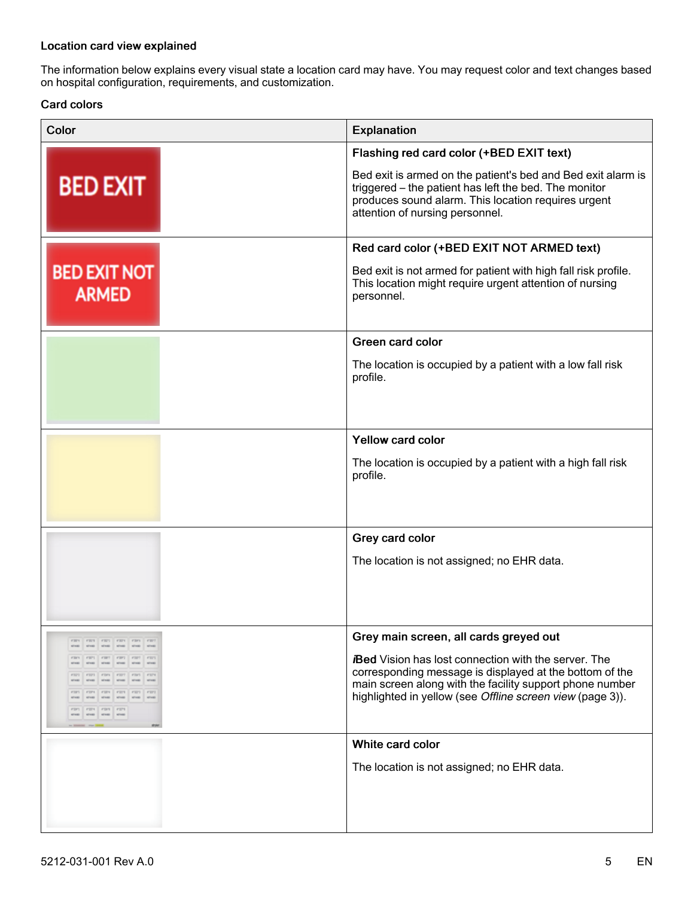#### Location card view explained

The information below explains every visual state a location card may have. You may request color and text changes based on hospital configuration, requirements, and customization.

#### Card colors

| Color                                                                                                                                                                                                                                                                | Explanation                                                                                                                                                                                                                                     |
|----------------------------------------------------------------------------------------------------------------------------------------------------------------------------------------------------------------------------------------------------------------------|-------------------------------------------------------------------------------------------------------------------------------------------------------------------------------------------------------------------------------------------------|
|                                                                                                                                                                                                                                                                      | Flashing red card color (+BED EXIT text)                                                                                                                                                                                                        |
| <b>BED EXIT</b>                                                                                                                                                                                                                                                      | Bed exit is armed on the patient's bed and Bed exit alarm is<br>triggered - the patient has left the bed. The monitor<br>produces sound alarm. This location requires urgent<br>attention of nursing personnel.                                 |
|                                                                                                                                                                                                                                                                      | Red card color (+BED EXIT NOT ARMED text)                                                                                                                                                                                                       |
| <b>BED EXIT NOT</b><br><b>ARMED</b>                                                                                                                                                                                                                                  | Bed exit is not armed for patient with high fall risk profile.<br>This location might require urgent attention of nursing<br>personnel.                                                                                                         |
|                                                                                                                                                                                                                                                                      | Green card color                                                                                                                                                                                                                                |
|                                                                                                                                                                                                                                                                      | The location is occupied by a patient with a low fall risk<br>profile.                                                                                                                                                                          |
|                                                                                                                                                                                                                                                                      |                                                                                                                                                                                                                                                 |
|                                                                                                                                                                                                                                                                      | <b>Yellow card color</b>                                                                                                                                                                                                                        |
|                                                                                                                                                                                                                                                                      | The location is occupied by a patient with a high fall risk<br>profile.                                                                                                                                                                         |
|                                                                                                                                                                                                                                                                      | Grey card color                                                                                                                                                                                                                                 |
|                                                                                                                                                                                                                                                                      | The location is not assigned; no EHR data.                                                                                                                                                                                                      |
|                                                                                                                                                                                                                                                                      |                                                                                                                                                                                                                                                 |
| cars   cars   cars   cars   cars   car<br>when when when when when                                                                                                                                                                                                   | Grey main screen, all cards greyed out                                                                                                                                                                                                          |
| cars   cars   cars   cars   cars   cars<br>sing sing sing sing sing<br>FIRE FIRE FIRE FIRE FIRE<br>sives since since since since since<br>FOR FOR FOR FOR FOR FOR<br>street street street street street<br>street.<br>can can can can<br>street street street street | <b>iBed</b> Vision has lost connection with the server. The<br>corresponding message is displayed at the bottom of the<br>main screen along with the facility support phone number<br>highlighted in yellow (see Offline screen view (page 3)). |
|                                                                                                                                                                                                                                                                      | White card color                                                                                                                                                                                                                                |
|                                                                                                                                                                                                                                                                      | The location is not assigned; no EHR data.                                                                                                                                                                                                      |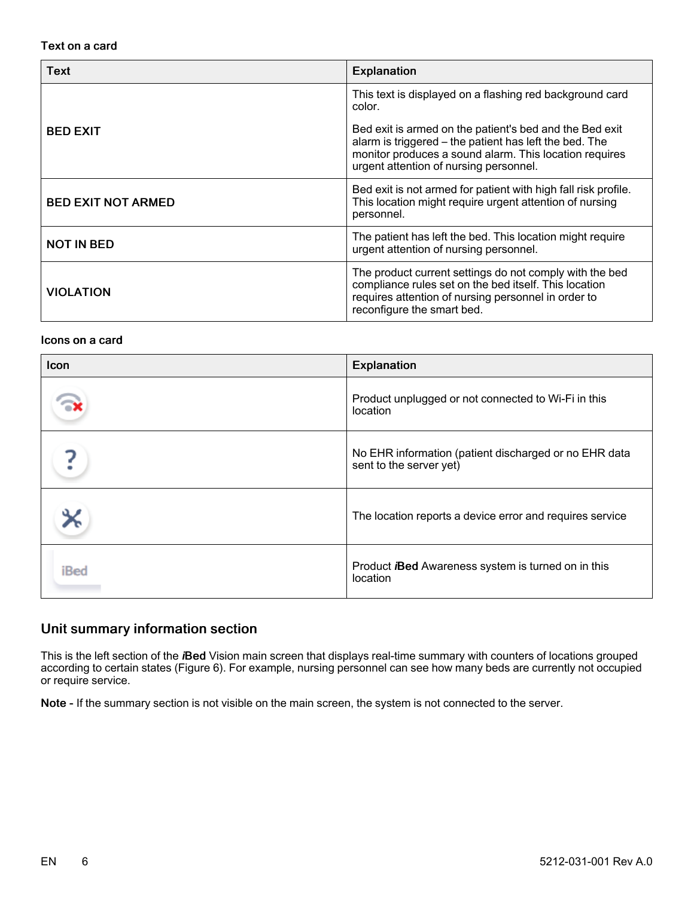#### Text on a card

| <b>Text</b>               | <b>Explanation</b>                                                                                                                                                                                                    |
|---------------------------|-----------------------------------------------------------------------------------------------------------------------------------------------------------------------------------------------------------------------|
|                           | This text is displayed on a flashing red background card<br>color.                                                                                                                                                    |
| <b>BED EXIT</b>           | Bed exit is armed on the patient's bed and the Bed exit<br>alarm is triggered - the patient has left the bed. The<br>monitor produces a sound alarm. This location requires<br>urgent attention of nursing personnel. |
| <b>BED EXIT NOT ARMED</b> | Bed exit is not armed for patient with high fall risk profile.<br>This location might require urgent attention of nursing<br>personnel.                                                                               |
| <b>NOT IN BED</b>         | The patient has left the bed. This location might require<br>urgent attention of nursing personnel.                                                                                                                   |
| <b>VIOLATION</b>          | The product current settings do not comply with the bed<br>compliance rules set on the bed itself. This location<br>requires attention of nursing personnel in order to<br>reconfigure the smart bed.                 |

#### Icons on a card

| <b>Icon</b> | <b>Explanation</b>                                                               |
|-------------|----------------------------------------------------------------------------------|
|             | Product unplugged or not connected to Wi-Fi in this<br>location                  |
|             | No EHR information (patient discharged or no EHR data<br>sent to the server yet) |
|             | The location reports a device error and requires service                         |
| <b>iBed</b> | Product <i>i</i> Bed Awareness system is turned on in this<br>location           |

#### <span id="page-7-0"></span>Unit summary information section

This is the left section of the *i*Be**d** Vision main screen that displays real-time summary with counters of locations grouped according to certain states [\(Figure](#page-8-0) 6). For example, nursing personnel can see how many beds are currently not occupied or require service.

Note - If the summary section is not visible on the main screen, the system is not connected to the server.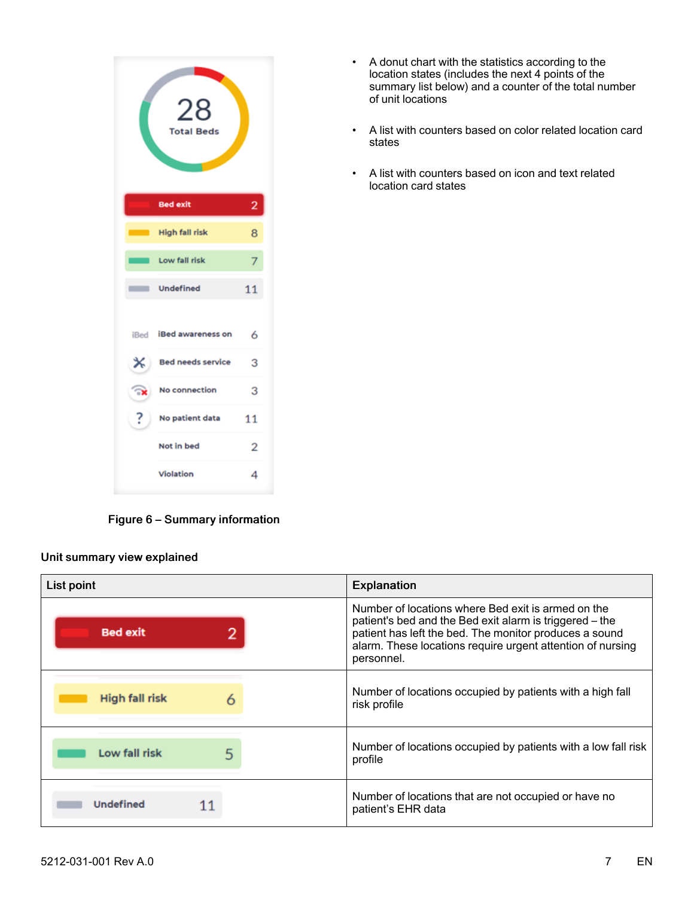<span id="page-8-0"></span>

| 28<br><b>Total Beds</b> |                          |    |  |  |  |
|-------------------------|--------------------------|----|--|--|--|
|                         | <b>Bed exit</b>          | 2  |  |  |  |
|                         | <b>High fall risk</b>    | 8  |  |  |  |
|                         | Low fall risk            |    |  |  |  |
|                         | <b>Undefined</b>         | 11 |  |  |  |
| iBed                    | iBed awareness on        | 6  |  |  |  |
| x                       | <b>Bed needs service</b> | 3  |  |  |  |
|                         | No connection            | 3  |  |  |  |
| ?                       | No patient data          | 11 |  |  |  |
|                         | Not in bed               | 2  |  |  |  |
|                         | Violation                | 4  |  |  |  |

- A donut chart with the statistics according to the location states (includes the next 4 points of the summary list below) and a counter of the total number of unit locations
- A list with counters based on color related location card states
- A list with counters based on icon and text related location card states

Figure 6 – Summary information

#### Unit summary view explained

| List point             | <b>Explanation</b>                                                                                                                                                                                                                                  |
|------------------------|-----------------------------------------------------------------------------------------------------------------------------------------------------------------------------------------------------------------------------------------------------|
| <b>Bed exit</b>        | Number of locations where Bed exit is armed on the<br>patient's bed and the Bed exit alarm is triggered – the<br>patient has left the bed. The monitor produces a sound<br>alarm. These locations require urgent attention of nursing<br>personnel. |
| <b>High fall risk</b>  | Number of locations occupied by patients with a high fall<br>risk profile                                                                                                                                                                           |
| Low fall risk          | Number of locations occupied by patients with a low fall risk<br>profile                                                                                                                                                                            |
| <b>Undefined</b><br>11 | Number of locations that are not occupied or have no<br>patient's EHR data                                                                                                                                                                          |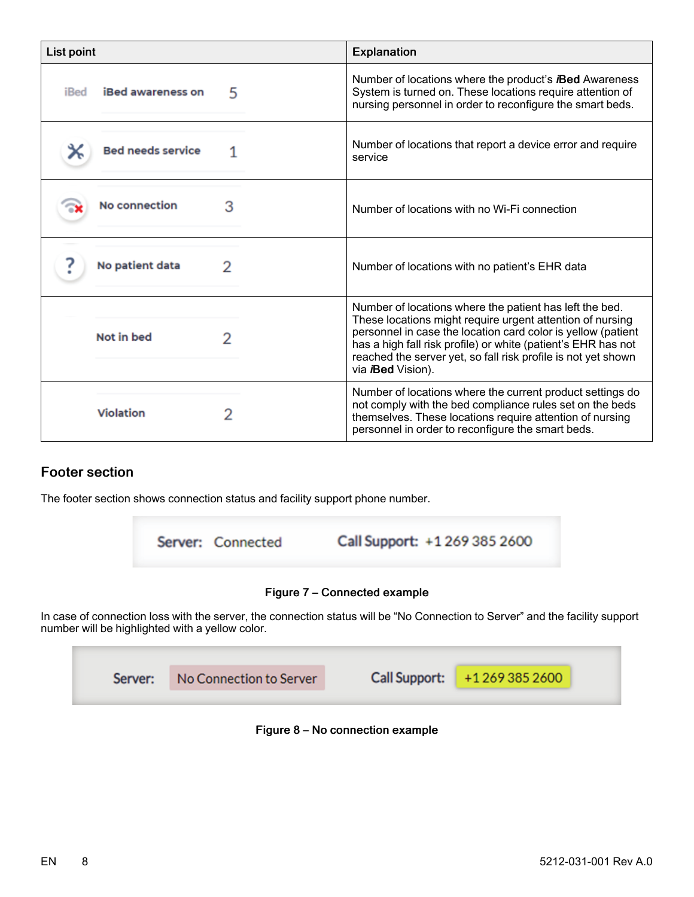| List point                       |   | <b>Explanation</b>                                                                                                                                                                                                                                                                                                                                  |
|----------------------------------|---|-----------------------------------------------------------------------------------------------------------------------------------------------------------------------------------------------------------------------------------------------------------------------------------------------------------------------------------------------------|
| <b>iBed awareness on</b><br>iBed | 5 | Number of locations where the product's <i>i</i> Bed Awareness<br>System is turned on. These locations require attention of<br>nursing personnel in order to reconfigure the smart beds.                                                                                                                                                            |
| <b>Bed needs service</b>         |   | Number of locations that report a device error and require<br>service                                                                                                                                                                                                                                                                               |
| No connection                    | 3 | Number of locations with no Wi-Fi connection                                                                                                                                                                                                                                                                                                        |
| No patient data                  | 2 | Number of locations with no patient's EHR data                                                                                                                                                                                                                                                                                                      |
| Not in bed                       | 2 | Number of locations where the patient has left the bed.<br>These locations might require urgent attention of nursing<br>personnel in case the location card color is yellow (patient<br>has a high fall risk profile) or white (patient's EHR has not<br>reached the server yet, so fall risk profile is not yet shown<br>via <i>i</i> Bed Vision). |
| <b>Violation</b>                 | 2 | Number of locations where the current product settings do<br>not comply with the bed compliance rules set on the beds<br>themselves. These locations require attention of nursing<br>personnel in order to reconfigure the smart beds.                                                                                                              |

#### <span id="page-9-0"></span>Footer section

The footer section shows connection status and facility support phone number.



Figure 7 – Connected example

In case of connection loss with the server, the connection status will be "No Connection to Server" and the facility support number will be highlighted with a yellow color.



Figure 8 – No connection example